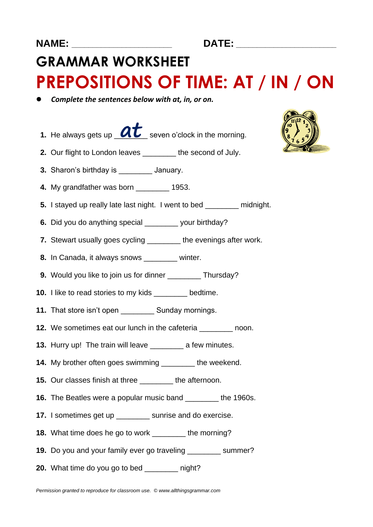## **NAME: \_\_\_\_\_\_\_\_\_\_\_\_\_\_\_\_\_\_\_\_\_\_\_\_ DATE: \_\_\_\_\_\_\_\_\_\_\_\_\_\_\_\_\_\_\_\_\_\_\_\_**

## **GRAMMAR WORKSHEET PREPOSITIONS OF TIME: AT / IN / ON**

- *Complete the sentences below with at, in, or on.*
- **1.** He always gets up  $\alpha t$  seven o'clock in the morning.
- **2.** Our flight to London leaves \_\_\_\_\_\_\_\_ the second of July.
- **3.** Sharon's birthday is \_\_\_\_\_\_\_\_ January.
- **4.** My grandfather was born **1953.**
- **5.** I stayed up really late last night. I went to bed midnight.
- **6.** Did you do anything special your birthday?
- **7.** Stewart usually goes cycling \_\_\_\_\_\_\_\_ the evenings after work.
- **8.** In Canada, it always snows **winter.**
- **9.** Would you like to join us for dinner Thursday?
- **10.** I like to read stories to my kids bedtime.
- **11.** That store isn't open **Sunday mornings.**
- **12.** We sometimes eat our lunch in the cafeteria **call in the solution** noon.
- **13.** Hurry up! The train will leave \_\_\_\_\_\_\_\_ a few minutes.
- **14.** My brother often goes swimming \_\_\_\_\_\_\_\_ the weekend.
- **15.** Our classes finish at three \_\_\_\_\_\_\_\_ the afternoon.
- **16.** The Beatles were a popular music band \_\_\_\_\_\_\_\_ the 1960s.
- **17.** I sometimes get up **sunrise and do exercise.**
- **18.** What time does he go to work \_\_\_\_\_\_\_\_ the morning?
- **19.** Do you and your family ever go traveling summer?
- **20.** What time do you go to bed \_\_\_\_\_\_\_\_ night?